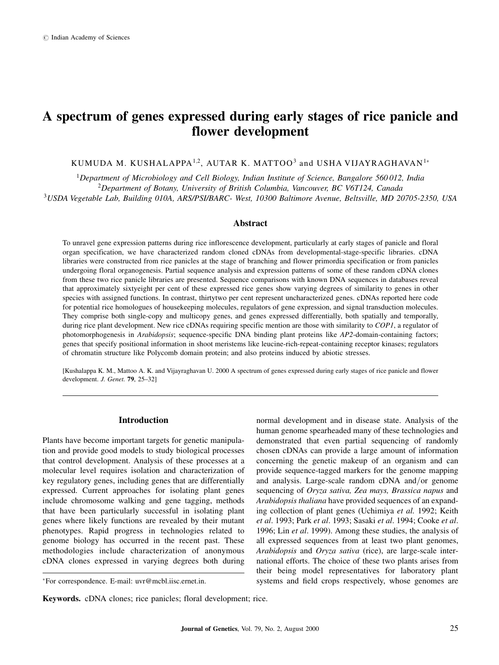# A spectrum of genes expressed during early stages of rice panicle and flower development

KUMUDA M. KUSHALAPPA<sup>1,2</sup>, AUTAR K. MATTOO<sup>3</sup> and USHA VIJAYRAGHAVAN<sup>1\*</sup>

<sup>1</sup>Department of Microbiology and Cell Biology, Indian Institute of Science, Bangalore 560012, India <sup>2</sup>Department of Botany, University of British Columbia, Vancouver, BC V6T124, Canada <sup>3</sup>USDA Vegetable Lab, Building 010A, ARS/PSI/BARC- West, 10300 Baltimore Avenue, Beltsville, MD 20705-2350, USA

#### Abstract

To unravel gene expression patterns during rice inflorescence development, particularly at early stages of panicle and floral organ specification, we have characterized random cloned cDNAs from developmental-stage-specific libraries. cDNA libraries were constructed from rice panicles at the stage of branching and flower primordia specification or from panicles undergoing floral organogenesis. Partial sequence analysis and expression patterns of some of these random cDNA clones from these two rice panicle libraries are presented. Sequence comparisons with known DNA sequences in databases reveal that approximately sixtyeight per cent of these expressed rice genes show varying degrees of similarity to genes in other species with assigned functions. In contrast, thirtytwo per cent represent uncharacterized genes. cDNAs reported here code for potential rice homologues of housekeeping molecules, regulators of gene expression, and signal transduction molecules. They comprise both single-copy and multicopy genes, and genes expressed differentially, both spatially and temporally, during rice plant development. New rice cDNAs requiring specific mention are those with similarity to COP1, a regulator of photomorphogenesis in Arabidopsis; sequence-specific DNA binding plant proteins like AP2-domain-containing factors; genes that specify positional information in shoot meristems like leucine-rich-repeat-containing receptor kinases; regulators of chromatin structure like Polycomb domain protein; and also proteins induced by abiotic stresses.

[Kushalappa K. M., Mattoo A. K. and Vijayraghavan U. 2000 A spectrum of genes expressed during early stages of rice panicle and flower development. J. Genet.  $79, 25-32$ ]

#### Introduction

Plants have become important targets for genetic manipulation and provide good models to study biological processes that control development. Analysis of these processes at a molecular level requires isolation and characterization of key regulatory genes, including genes that are differentially expressed. Current approaches for isolating plant genes include chromosome walking and gene tagging, methods that have been particularly successful in isolating plant genes where likely functions are revealed by their mutant phenotypes. Rapid progress in technologies related to genome biology has occurred in the recent past. These methodologies include characterization of anonymous cDNA clones expressed in varying degrees both during

normal development and in disease state. Analysis of the human genome spearheaded many of these technologies and demonstrated that even partial sequencing of randomly chosen cDNAs can provide a large amount of information concerning the genetic makeup of an organism and can provide sequence-tagged markers for the genome mapping and analysis. Large-scale random cDNA and/or genome sequencing of Oryza sativa, Zea mays, Brassica napus and Arabidopsis thaliana have provided sequences of an expanding collection of plant genes (Uchimiya et al. 1992; Keith et al. 1993; Park et al. 1993; Sasaki et al. 1994; Cooke et al. 1996; Lin et al. 1999). Among these studies, the analysis of all expressed sequences from at least two plant genomes, Arabidopsis and Oryza sativa (rice), are large-scale international efforts. The choice of these two plants arises from their being model representatives for laboratory plant systems and field crops respectively, whose genomes are

For correspondence. E-mail: uvr@mcbl.iisc.ernet.in.

Keywords. cDNA clones; rice panicles; floral development; rice.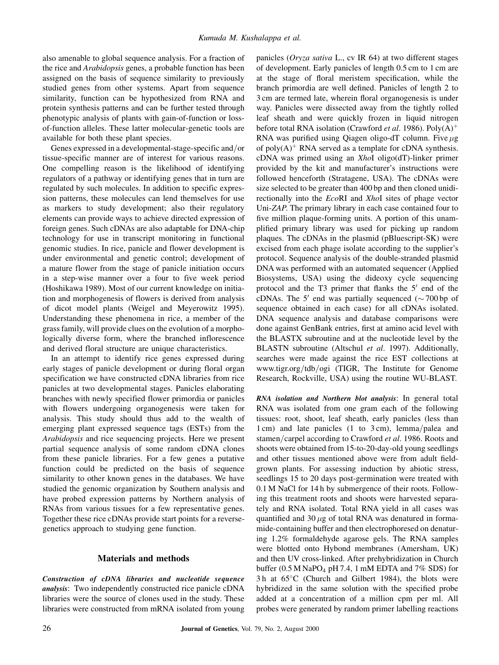also amenable to global sequence analysis. For a fraction of the rice and Arabidopsis genes, a probable function has been assigned on the basis of sequence similarity to previously studied genes from other systems. Apart from sequence similarity, function can be hypothesized from RNA and protein synthesis patterns and can be further tested through phenotypic analysis of plants with gain-of-function or lossof-function alleles. These latter molecular-genetic tools are available for both these plant species.

Genes expressed in a developmental-stage-specific and/or tissue-specific manner are of interest for various reasons. One compelling reason is the likelihood of identifying regulators of a pathway or identifying genes that in turn are regulated by such molecules. In addition to specific expression patterns, these molecules can lend themselves for use as markers to study development; also their regulatory elements can provide ways to achieve directed expression of foreign genes. Such cDNAs are also adaptable for DNA-chip technology for use in transcript monitoring in functional genomic studies. In rice, panicle and flower development is under environmental and genetic control; development of a mature flower from the stage of panicle initiation occurs in a step-wise manner over a four to five week period (Hoshikawa 1989). Most of our current knowledge on initiation and morphogenesis of flowers is derived from analysis of dicot model plants (Weigel and Meyerowitz 1995). Understanding these phenomena in rice, a member of the grassfamily, will provide clues on the evolution of a morphologically diverse form, where the branched inflorescence and derived floral structure are unique characteristics.

In an attempt to identify rice genes expressed during early stages of panicle development or during floral organ specification we have constructed cDNA libraries from rice panicles at two developmental stages. Panicles elaborating branches with newly specified flower primordia or panicles with flowers undergoing organogenesis were taken for analysis. This study should thus add to the wealth of emerging plant expressed sequence tags (ESTs) from the Arabidopsis and rice sequencing projects. Here we present partial sequence analysis of some random cDNA clones from these panicle libraries. For a few genes a putative function could be predicted on the basis of sequence similarity to other known genes in the databases. We have studied the genomic organization by Southern analysis and have probed expression patterns by Northern analysis of RNAs from various tissues for a few representative genes. Together these rice cDNAs provide start points for a reversegenetics approach to studying gene function.

#### Materials and methods

Construction of cDNA libraries and nucleotide sequence analysis: Two independently constructed rice panicle cDNA libraries were the source of clones used in the study. These libraries were constructed from mRNA isolated from young panicles (Oryza sativa L., cv IR 64) at two different stages of development. Early panicles of length 0.5 cm to 1 cm are at the stage of floral meristem specification, while the branch primordia are well defined. Panicles of length 2 to 3 cm are termed late, wherein floral organogenesis is under way. Panicles were dissected away from the tightly rolled leaf sheath and were quickly frozen in liquid nitrogen before total RNA isolation (Crawford *et al.* 1986). Poly $(A)^+$ RNA was purified using Qiagen oligo-dT column. Five  $\mu$ g of poly $(A)^+$  RNA served as a template for cDNA synthesis. cDNA was primed using an XhoI oligo(dT)-linker primer provided by the kit and manufacturer's instructions were followed henceforth (Stratagene, USA). The cDNAs were size selected to be greater than 400 bp and then cloned unidirectionally into the EcoRI and XhoI sites of phage vector Uni-ZAP. The primary library in each case contained four to five million plaque-forming units. A portion of this unamplified primary library was used for picking up random plaques. The cDNAs in the plasmid (pBluescript-SK) were excised from each phage isolate according to the supplier's protocol. Sequence analysis of the double-stranded plasmid DNA was performed with an automated sequencer (Applied Biosystems, USA) using the dideoxy cycle sequencing protocol and the T3 primer that flanks the  $5'$  end of the cDNAs. The 5<sup>'</sup> end was partially sequenced ( $\sim$  700 bp of sequence obtained in each case) for all cDNAs isolated. DNA sequence analysis and database comparisons were done against GenBank entries, first at amino acid level with the BLASTX subroutine and at the nucleotide level by the BLASTN subroutine (Altschul et al. 1997). Additionally, searches were made against the rice EST collections at www.tigr.org/tdb/ogi (TIGR, The Institute for Genome Research, Rockville, USA) using the routine WU-BLAST.

RNA isolation and Northern blot analysis: In general total RNA was isolated from one gram each of the following tissues: root, shoot, leaf sheath, early panicles (less than 1 cm) and late panicles (1 to 3 cm), lemma/palea and stamen/carpel according to Crawford et al. 1986. Roots and shoots were obtained from 15-to-20-day-old young seedlings and other tissues mentioned above were from adult fieldgrown plants. For assessing induction by abiotic stress, seedlings 15 to 20 days post-germination were treated with 0.1 M NaCl for 14 h by submergence of their roots. Following this treatment roots and shoots were harvested separately and RNA isolated. Total RNA yield in all cases was quantified and 30  $\mu$ g of total RNA was denatured in formamide-containing buffer and then electrophoresed on denaturing 1.2% formaldehyde agarose gels. The RNA samples were blotted onto Hybond membranes (Amersham, UK) and then UV cross-linked. After prehybridization in Church buffer  $(0.5 M NaPO<sub>4</sub> pH 7.4, 1 mM EDTA and 7% SDS)$  for  $3 h$  at  $65^{\circ}$ C (Church and Gilbert 1984), the blots were hybridized in the same solution with the specified probe added at a concentration of a million cpm per ml. All probes were generated by random primer labelling reactions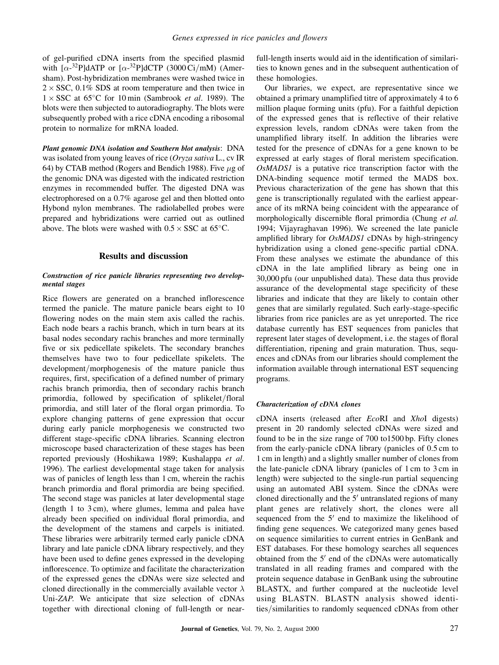of gel-purified cDNA inserts from the specified plasmid with  $[\alpha^{-32}P]$ dATP or  $[\alpha^{-32}P]$ dCTP (3000 Ci/mM) (Amersham). Post-hybridization membranes were washed twice in  $2 \times$  SSC, 0.1% SDS at room temperature and then twice in  $1 \times SSC$  at 65°C for 10 min (Sambrook *et al.* 1989). The blots were then subjected to autoradiography. The blots were subsequently probed with a rice cDNA encoding a ribosomal protein to normalize for mRNA loaded.

Plant genomic DNA isolation and Southern blot analysis: DNA was isolated from young leaves of rice (Oryza sativa L., cv IR 64) by CTAB method (Rogers and Bendich 1988). Five  $\mu$ g of the genomic DNA was digested with the indicated restriction enzymes in recommended buffer. The digested DNA was electrophoresed on a 0.7% agarose gel and then blotted onto Hybond nylon membranes. The radiolabelled probes were prepared and hybridizations were carried out as outlined above. The blots were washed with  $0.5 \times$  SSC at 65 $^{\circ}$ C.

### Results and discussion

#### Construction of rice panicle libraries representing two developmental stages

Rice flowers are generated on a branched inflorescence termed the panicle. The mature panicle bears eight to 10 flowering nodes on the main stem axis called the rachis. Each node bears a rachis branch, which in turn bears at its basal nodes secondary rachis branches and more terminally five or six pedicellate spikelets. The secondary branches themselves have two to four pedicellate spikelets. The development/morphogenesis of the mature panicle thus requires, first, specification of a defined number of primary rachis branch primordia, then of secondary rachis branch primordia, followed by specification of splikelet/floral primordia, and still later of the floral organ primordia. To explore changing patterns of gene expression that occur during early panicle morphogenesis we constructed two different stage-specific cDNA libraries. Scanning electron microscope based characterization of these stages has been reported previously (Hoshikawa 1989; Kushalappa et al. 1996). The earliest developmental stage taken for analysis was of panicles of length less than 1 cm, wherein the rachis branch primordia and floral primordia are being specified. The second stage was panicles at later developmental stage (length 1 to 3 cm), where glumes, lemma and palea have already been specified on individual floral primordia, and the development of the stamens and carpels is initiated. These libraries were arbitrarily termed early panicle cDNA library and late panicle cDNA library respectively, and they have been used to define genes expressed in the developing inflorescence. To optimize and facilitate the characterization of the expressed genes the cDNAs were size selected and cloned directionally in the commercially available vector  $\lambda$ Uni-ZAP. We anticipate that size selection of cDNAs together with directional cloning of full-length or nearfull-length inserts would aid in the identification of similarities to known genes and in the subsequent authentication of these homologies.

Our libraries, we expect, are representative since we obtained a primary unamplified titre of approximately 4 to 6 million plaque forming units (pfu). For a faithful depiction of the expressed genes that is reflective of their relative expression levels, random cDNAs were taken from the unamplified library itself. In addition the libraries were tested for the presence of cDNAs for a gene known to be expressed at early stages of floral meristem specification. OsMADS1 is a putative rice transcription factor with the DNA-binding sequence motif termed the MADS box. Previous characterization of the gene has shown that this gene is transcriptionally regulated with the earliest appearance of its mRNA being coincident with the appearance of morphologically discernible floral primordia (Chung et al. 1994; Vijayraghavan 1996). We screened the late panicle amplified library for  $OsMADS1$  cDNAs by high-stringency hybridization using a cloned gene-specific partial cDNA. From these analyses we estimate the abundance of this cDNA in the late amplified library as being one in 30,000 pfu (our unpublished data). These data thus provide assurance of the developmental stage specificity of these libraries and indicate that they are likely to contain other genes that are similarly regulated. Such early-stage-specific libraries from rice panicles are as yet unreported. The rice database currently has EST sequences from panicles that represent later stages of development, i.e. the stages of floral differentiation, ripening and grain maturation. Thus, sequences and cDNAs from our libraries should complement the information available through international EST sequencing programs.

#### Characterization of cDNA clones

cDNA inserts (released after EcoRI and XhoI digests) present in 20 randomly selected cDNAs were sized and found to be in the size range of 700 to1500 bp. Fifty clones from the early-panicle cDNA library (panicles of 0.5 cm to 1 cm in length) and a slightly smaller number of clones from the late-panicle cDNA library (panicles of 1 cm to 3 cm in length) were subjected to the single-run partial sequencing using an automated ABI system. Since the cDNAs were cloned directionally and the  $5<sup>'</sup>$  untranslated regions of many plant genes are relatively short, the clones were all sequenced from the  $5'$  end to maximize the likelihood of finding gene sequences. We categorized many genes based on sequence similarities to current entries in GenBank and EST databases. For these homology searches all sequences obtained from the  $5'$  end of the cDNAs were automatically translated in all reading frames and compared with the protein sequence database in GenBank using the subroutine BLASTX, and further compared at the nucleotide level using BLASTN. BLASTN analysis showed identities/similarities to randomly sequenced cDNAs from other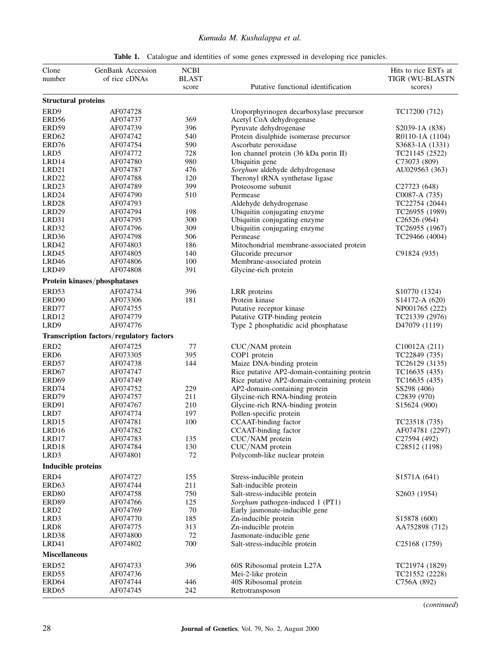## Kumuda M. Kushalappa et al.

| Clone                      | GenBank Accession                        | ${\bf NCBI}$ |                                                                              | Hits to rice ESTs at           |
|----------------------------|------------------------------------------|--------------|------------------------------------------------------------------------------|--------------------------------|
| number                     | of rice cDNAs                            | <b>BLAST</b> |                                                                              | TIGR (WU-BLASTN                |
|                            |                                          | score        | Putative functional identification                                           | scores)                        |
| <b>Structural proteins</b> |                                          |              |                                                                              |                                |
| ERD9                       | AF074728                                 |              | Uroporphyrinogen decarboxylase precursor                                     | TC17200 (712)                  |
| ERD <sub>56</sub>          | AF074737                                 | 369          | Acetyl CoA dehydrogenase                                                     |                                |
| ERD59                      | AF074739                                 | 396          | Pyruvate dehydrogenase                                                       | S2039-1A (838)                 |
| ERD <sub>62</sub>          | AF074742                                 | 540          | Protein disulphide isomerase precursor                                       | R0110-1A (1104)                |
| ERD76                      | AF074754                                 | 590          | Ascorbate peroxidase                                                         | S3683-1A (1331)                |
| LRD5                       | AF074772                                 | 728          | Ion channel protein (36 kDa porin II)                                        | TC21145 (2522)                 |
| LRD14                      | AF074780                                 | 980          | Ubiquitin gene                                                               | C73073 (809)                   |
| LRD <sub>21</sub>          | AF074787                                 | 476          | Sorghum aldehyde dehydrogenase                                               | AU029563 (363)                 |
| LRD <sub>22</sub>          | AF074788                                 | 120          | Theronyl tRNA synthetase ligase                                              |                                |
| LRD <sub>23</sub>          | AF074789                                 | 399          | Proteosome subunit                                                           | C <sub>27723</sub> (648)       |
| LRD24                      | AF074790                                 | 510          | Permease                                                                     | C0087-A (735)                  |
| LRD <sub>28</sub>          | AF074793                                 |              | Aldehyde dehydrogenase                                                       | TC22754 (2044)                 |
| LRD <sub>29</sub>          | AF074794                                 | 198          | Ubiquitin conjugating enzyme                                                 | TC26955 (1989)                 |
| LRD31                      | AF074795                                 | 300          | Ubiquitin conjugating enzyme                                                 | C26526(964)                    |
| LRD32                      | AF074796                                 | 309          | Ubiquitin conjugating enzyme                                                 | TC26955 (1967)                 |
| LRD36                      | AF074798                                 | 506          | Permease                                                                     | TC29466 (4004)                 |
| LRD42                      | AF074803                                 | 186          | Mitochondrial membrane-associated protein                                    |                                |
| LRD45                      | AF074805                                 | 140          | Glucoride precursor                                                          | C91824 (935)                   |
| LRD46                      | AF074806                                 | 100          | Membrane-associated protein                                                  |                                |
| LRD49                      | AF074808                                 | 391          | Glycine-rich protein                                                         |                                |
|                            | Protein kinases/phosphatases             |              |                                                                              |                                |
| ERD53                      | AF074734                                 | 396          | LRR proteins                                                                 | S10770 (1324)                  |
| ERD90                      | AF073306                                 | 181          | Protein kinase                                                               | S14172-A (620)                 |
| ERD77                      | AF074755                                 |              | Putative receptor kinase                                                     | NP001765 (222)                 |
| LRD12                      | AF074779                                 |              | Putative GTP-binding protein                                                 | TC21339 (2976)                 |
| LRD9                       | AF074776                                 |              |                                                                              | D <sub>47079</sub> (1119)      |
|                            | Transcription factors/regulatory factors |              | Type 2 phosphatidic acid phosphatase                                         |                                |
| ERD <sub>2</sub>           | AF074725                                 | 77           |                                                                              |                                |
| ERD <sub>6</sub>           | AF073305                                 | 395          | CUC/NAM protein<br>COP1 protein                                              | C10012A (211)<br>TC22849 (735) |
| ERD57                      |                                          |              |                                                                              |                                |
| ERD67                      | AF074738<br>AF074747                     | 144          | Maize DNA-binding protein<br>Rice putative AP2-domain-containing protein     | TC26129 (3135)                 |
| ERD <sub>69</sub>          | AF074749                                 |              |                                                                              | TC16635 (435)<br>TC16635 (435) |
| ERD74                      | AF074752                                 | 229          | Rice putative AP2-domain-containing protein<br>AP2-domain-containing protein | SS298 (406)                    |
|                            |                                          | 211          |                                                                              |                                |
| ERD79                      | AF074757                                 |              | Glycine-rich RNA-binding protein                                             | C <sub>2839</sub> (970)        |
| ERD91<br>LRD7              | AF074767<br>AF074774                     | 210<br>197   | Glycine-rich RNA-binding protein                                             | S15624 (900)                   |
| LRD15                      | AF074781                                 | 100          | Pollen-specific protein<br>CCAAT-binding factor                              | TC23518 (735)                  |
| LRD16                      | AF074782                                 |              | CCAAT-binding factor                                                         | AF074781 (2297)                |
|                            | AF074783                                 |              | CUC/NAM protein                                                              | C27594 (492)                   |
| LRD17<br>LRD18             | AF074784                                 | 135<br>130   | CUC/NAM protein                                                              | C28512 (1198)                  |
| LRD3                       | AF074801                                 | 72           | Polycomb-like nuclear protein                                                |                                |
| <b>Inducible proteins</b>  |                                          |              |                                                                              |                                |
|                            |                                          |              |                                                                              |                                |
| ERD4<br>ERD63              | AF074727<br>AF074744                     | 155<br>211   | Stress-inducible protein<br>Salt-inducible protein                           | S1571A (641)                   |
|                            |                                          |              |                                                                              |                                |
| ERD <sub>80</sub>          | AF074758                                 | 750          | Salt-stress-inducible protein                                                | S2603 (1954)                   |
| ERD89                      | AF074766<br>AF074769                     | 125<br>70    | Sorghum pathogen-induced 1 (PT1)<br>Early jasmonate-inducible gene           |                                |
| LRD <sub>2</sub>           |                                          |              |                                                                              |                                |
| LRD3                       | AF074770                                 | 185          | Zn-inducible protein                                                         | S15878 (600)                   |
| LRD <sub>8</sub><br>LRD38  | AF074775<br>AF074800                     | 313<br>72    | Zn-inducible protein<br>Jasmonate-inducible gene                             | AA752898 (712)                 |
| LRD41                      | AF074802                                 | 700          |                                                                              |                                |
|                            |                                          |              | Salt-stress-inducible protein                                                | C <sub>25</sub> 168 (1759)     |
| <b>Miscellaneous</b>       |                                          |              |                                                                              |                                |
| ERD52                      | AF074733                                 | 396          | 60S Ribosomal protein L27A                                                   | TC21974 (1829)                 |
| ERD55                      | AF074736                                 |              | Mei-2-like protein                                                           | TC21552 (2228)                 |
| ERD64                      | AF074744                                 | 446          | 40S Ribosomal protein                                                        | C756A (892)                    |
| ERD <sub>65</sub>          | AF074745                                 | 242          | Retrotransposon                                                              |                                |

(continued)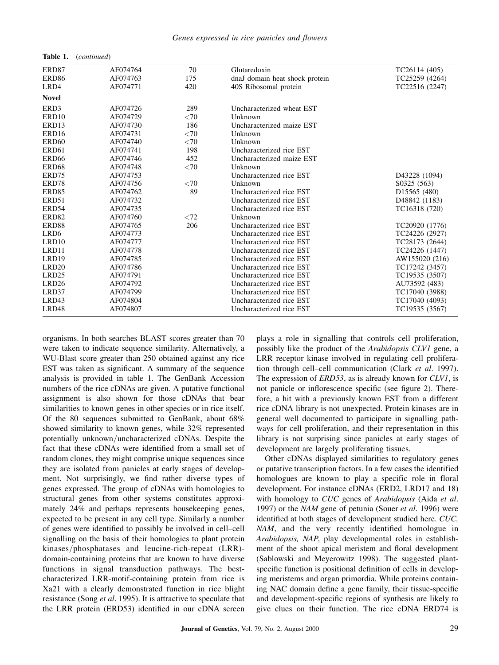| Genes expressed in rice panicles and flowers |  |  |  |
|----------------------------------------------|--|--|--|
|                                              |  |  |  |

| ERD87             | AF074764 | 70   | Glutaredoxin                   | TC26114 (405)            |
|-------------------|----------|------|--------------------------------|--------------------------|
| ERD <sub>86</sub> | AF074763 | 175  | dnaJ domain heat shock protein | TC25259 (4264)           |
| LRD4              | AF074771 | 420  | 40S Ribosomal protein          | TC22516 (2247)           |
| <b>Novel</b>      |          |      |                                |                          |
| ERD3              | AF074726 | 289  | Uncharacterized wheat EST      |                          |
| ERD10             | AF074729 | < 70 | Unknown                        |                          |
| ERD13             | AF074730 | 186  | Uncharacterized maize EST      |                          |
| ERD <sub>16</sub> | AF074731 | < 70 | Unknown                        |                          |
| ERD <sub>60</sub> | AF074740 | < 70 | Unknown                        |                          |
| ERD61             | AF074741 | 198  | Uncharacterized rice EST       |                          |
| ERD <sub>66</sub> | AF074746 | 452  | Uncharacterized maize EST      |                          |
| ERD68             | AF074748 | < 70 | Unknown                        |                          |
| ERD75             | AF074753 |      | Uncharacterized rice EST       | D43228 (1094)            |
| ERD78             | AF074756 | < 70 | Unknown                        | S0325 (563)              |
| ERD <sub>85</sub> | AF074762 | 89   | Uncharacterized rice EST       | D <sub>15565</sub> (480) |
| ERD51             | AF074732 |      | Uncharacterized rice EST       | D48842 (1183)            |
| ERD54             | AF074735 |      | Uncharacterized rice EST       | TC16318 (720)            |
| ERD <sub>82</sub> | AF074760 | < 72 | Unknown                        |                          |
| ERD88             | AF074765 | 206  | Uncharacterized rice EST       | TC20920 (1776)           |
| LRD <sub>6</sub>  | AF074773 |      | Uncharacterized rice EST       | TC24226 (2927)           |
| LRD10             | AF074777 |      | Uncharacterized rice EST       | TC28173 (2644)           |
| LRD11             | AF074778 |      | Uncharacterized rice EST       | TC24226 (1447)           |
| LRD19             | AF074785 |      | Uncharacterized rice EST       | AW155020 (216)           |
| LRD <sub>20</sub> | AF074786 |      | Uncharacterized rice EST       | TC17242 (3457)           |
| LRD <sub>25</sub> | AF074791 |      | Uncharacterized rice EST       | TC19535 (3507)           |
| LRD <sub>26</sub> | AF074792 |      | Uncharacterized rice EST       | AU73592 (483)            |
| LRD37             | AF074799 |      | Uncharacterized rice EST       | TC17040 (3988)           |
| LRD43             | AF074804 |      | Uncharacterized rice EST       | TC17040 (4093)           |
| LRD48             | AF074807 |      | Uncharacterized rice EST       | TC19535 (3567)           |

organisms. In both searches BLAST scores greater than 70 were taken to indicate sequence similarity. Alternatively, a WU-Blast score greater than 250 obtained against any rice EST was taken as significant. A summary of the sequence analysis is provided in table 1. The GenBank Accession numbers of the rice cDNAs are given. A putative functional assignment is also shown for those cDNAs that bear similarities to known genes in other species or in rice itself. Of the 80 sequences submitted to GenBank, about 68% showed similarity to known genes, while 32% represented potentially unknown/uncharacterized cDNAs. Despite the fact that these cDNAs were identified from a small set of random clones, they might comprise unique sequences since they are isolated from panicles at early stages of development. Not surprisingly, we find rather diverse types of genes expressed. The group of cDNAs with homologies to structural genes from other systems constitutes approximately 24% and perhaps represents housekeeping genes, expected to be present in any cell type. Similarly a number of genes were identified to possibly be involved in cell–cell signalling on the basis of their homologies to plant protein  $kinases/phosphatases$  and leucine-rich-repeat (LRR)domain-containing proteins that are known to have diverse functions in signal transduction pathways. The bestcharacterized LRR-motif-containing protein from rice is Xa21 with a clearly demonstrated function in rice blight resistance (Song et al. 1995). It is attractive to speculate that the LRR protein (ERD53) identified in our cDNA screen

Table 1. (continued)

plays a role in signalling that controls cell proliferation, possibly like the product of the Arabidopsis CLV1 gene, a LRR receptor kinase involved in regulating cell proliferation through cell-cell communication (Clark et al. 1997). The expression of *ERD53*, as is already known for *CLV1*, is not panicle or inflorescence specific (see figure 2). Therefore, a hit with a previously known EST from a different rice cDNA library is not unexpected. Protein kinases are in general well documented to participate in signalling pathways for cell proliferation, and their representation in this library is not surprising since panicles at early stages of development are largely proliferating tissues.

Other cDNAs displayed similarities to regulatory genes or putative transcription factors. In a few cases the identified homologues are known to play a specific role in floral development. For instance cDNAs (ERD2, LRD17 and 18) with homology to CUC genes of Arabidopsis (Aida et al. 1997) or the NAM gene of petunia (Souer et al. 1996) were identified at both stages of development studied here. CUC,  $NAM$ , and the very recently identified homologue in Arabidopsis, NAP, play developmental roles in establishment of the shoot apical meristem and floral development (Sablowski and Meyerowitz 1998). The suggested plantspecific function is positional definition of cells in developing meristems and organ primordia. While proteins containing NAC domain define a gene family, their tissue-specific and development-specific regions of synthesis are likely to give clues on their function. The rice cDNA ERD74 is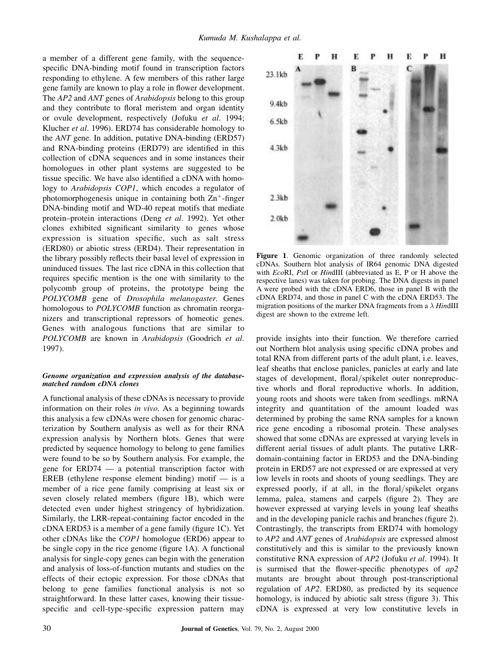a member of a different gene family, with the sequencespecific DNA-binding motif found in transcription factors responding to ethylene. A few members of this rather large gene family are known to play a role in flower development. The AP2 and ANT genes of Arabidopsis belong to this group and they contribute to floral meristem and organ identity or ovule development, respectively (Jofuku et al. 1994; Klucher et al. 1996). ERD74 has considerable homology to the ANT gene. In addition, putative DNA-binding (ERD57) and RNA-binding proteins (ERD79) are identified in this collection of cDNA sequences and in some instances their homologues in other plant systems are suggested to be tissue specific. We have also identified a cDNA with homology to Arabidopsis COP1, which encodes a regulator of photomorphogenesis unique in containing both  $\text{Zn}^+$ -finger DNA-binding motif and WD-40 repeat motifs that mediate protein–protein interactions (Deng et al. 1992). Yet other clones exhibited significant similarity to genes whose expression is situation specific, such as salt stress (ERD80) or abiotic stress (ERD4). Their representation in the library possibly reflects their basal level of expression in uninduced tissues. The last rice cDNA in this collection that requires specific mention is the one with similarity to the polycomb group of proteins, the prototype being the POLYCOMB gene of Drosophila melanogaster. Genes homologous to *POLYCOMB* function as chromatin reorganizers and transcriptional repressors of homeotic genes. Genes with analogous functions that are similar to POLYCOMB are known in Arabidopsis (Goodrich et al. 1997).

#### Genome organization and expression analysis of the databasematched random cDNA clones

A functional analysis of these cDNAs is necessary to provide information on their roles in vivo. As a beginning towards this analysis a few cDNAs were chosen for genomic characterization by Southern analysis as well as for their RNA expression analysis by Northern blots. Genes that were predicted by sequence homology to belong to gene families were found to be so by Southern analysis. For example, the gene for  $ERD74$   $-$  a potential transcription factor with EREB (ethylene response element binding) motif  $\overline{\phantom{a}}$  is a member of a rice gene family comprising at least six or seven closely related members (figure 1B), which were detected even under highest stringency of hybridization. Similarly, the LRR-repeat-containing factor encoded in the  $cDNA$  ERD53 is a member of a gene family (figure 1C). Yet other cDNAs like the COP1 homologue (ERD6) appear to be single copy in the rice genome (figure  $1A$ ). A functional analysis for single-copy genes can begin with the generation and analysis of loss-of-function mutants and studies on the effects of their ectopic expression. For those cDNAs that belong to gene families functional analysis is not so straightforward. In these latter cases, knowing their tissuespecific and cell-type-specific expression pattern may



Figure 1. Genomic organization of three randomly selected cDNAs. Southern blot analysis of IR64 genomic DNA digested with EcoRI, PstI or HindIII (abbreviated as E, P or H above the respective lanes) was taken for probing. The DNA digests in panel A were probed with the cDNA ERD6, those in panel B with the cDNA ERD74, and those in panel C with the cDNA ERD53. The migration positions of the marker DNA fragments from a  $\lambda$  HindIII digest are shown to the extreme left.

provide insights into their function. We therefore carried out Northern blot analysis using specific cDNA probes and total RNA from different parts of the adult plant, i.e. leaves, leaf sheaths that enclose panicles, panicles at early and late stages of development, floral/spikelet outer nonreproductive whorls and floral reproductive whorls. In addition, young roots and shoots were taken from seedlings. mRNA integrity and quantitation of the amount loaded was determined by probing the same RNA samples for a known rice gene encoding a ribosomal protein. These analyses showed that some cDNAs are expressed at varying levels in different aerial tissues of adult plants. The putative LRRdomain-containing factor in ERD53 and the DNA-binding protein in ERD57 are not expressed or are expressed at very low levels in roots and shoots of young seedlings. They are expressed poorly, if at all, in the floral/spikelet organs lemma, palea, stamens and carpels (figure 2). They are however expressed at varying levels in young leaf sheaths and in the developing panicle rachis and branches (figure 2). Contrastingly, the transcripts from ERD74 with homology to AP2 and ANT genes of Arabidopsis are expressed almost constitutively and this is similar to the previously known constitutive RNA expression of AP2 (Jofuku et al. 1994). It is surmised that the flower-specific phenotypes of  $ap2$ mutants are brought about through post-transcriptional regulation of AP2. ERD80, as predicted by its sequence homology, is induced by abiotic salt stress (figure 3). This cDNA is expressed at very low constitutive levels in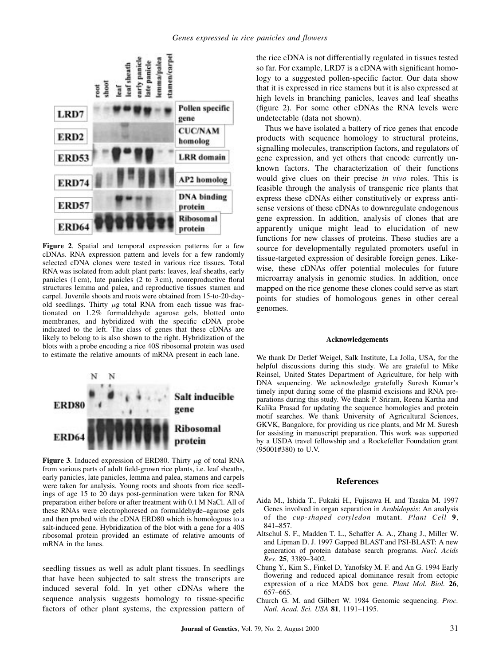

Figure 2. Spatial and temporal expression patterns for a few cDNAs. RNA expression pattern and levels for a few randomly selected cDNA clones were tested in various rice tissues. Total RNA was isolated from adult plant parts: leaves, leaf sheaths, early panicles  $(1 \text{ cm})$ , late panicles  $(2 \text{ to } 3 \text{ cm})$ , nonreproductive floral structures lemma and palea, and reproductive tissues stamen and carpel. Juvenile shoots and roots were obtained from 15-to-20-dayold seedlings. Thirty  $\mu$ g total RNA from each tissue was fractionated on 1.2% formaldehyde agarose gels, blotted onto membranes, and hybridized with the specific cDNA probe indicated to the left. The class of genes that these cDNAs are likely to belong to is also shown to the right. Hybridization of the blots with a probe encoding a rice 40S ribosomal protein was used to estimate the relative amounts of mRNA present in each lane.



Figure 3. Induced expression of ERD80. Thirty  $\mu$ g of total RNA from various parts of adult field-grown rice plants, i.e. leaf sheaths, early panicles, late panicles, lemma and palea, stamens and carpels were taken for analysis. Young roots and shoots from rice seedlings of age 15 to 20 days post-germination were taken for RNA preparation either before or after treatment with 0.1 M NaCl. All of these RNAs were electrophoresed on formaldehyde-agarose gels and then probed with the cDNA ERD80 which is homologous to a salt-induced gene. Hybridization of the blot with a gene for a 40S ribosomal protein provided an estimate of relative amounts of mRNA in the lanes.

seedling tissues as well as adult plant tissues. In seedlings that have been subjected to salt stress the transcripts are induced several fold. In yet other cDNAs where the sequence analysis suggests homology to tissue-specific factors of other plant systems, the expression pattern of the rice cDNA is not differentially regulated in tissues tested so far. For example, LRD7 is a cDNA with significant homology to a suggested pollen-specific factor. Our data show that it is expressed in rice stamens but it is also expressed at high levels in branching panicles, leaves and leaf sheaths (figure 2). For some other cDNAs the RNA levels were undetectable (data not shown).

Thus we have isolated a battery of rice genes that encode products with sequence homology to structural proteins, signalling molecules, transcription factors, and regulators of gene expression, and yet others that encode currently unknown factors. The characterization of their functions would give clues on their precise in vivo roles. This is feasible through the analysis of transgenic rice plants that express these cDNAs either constitutively or express antisense versions of these cDNAs to downregulate endogenous gene expression. In addition, analysis of clones that are apparently unique might lead to elucidation of new functions for new classes of proteins. These studies are a source for developmentally regulated promoters useful in tissue-targeted expression of desirable foreign genes. Likewise, these cDNAs offer potential molecules for future microarray analysis in genomic studies. In addition, once mapped on the rice genome these clones could serve as start points for studies of homologous genes in other cereal genomes.

#### Acknowledgements

We thank Dr Detlef Weigel, Salk Institute, La Jolla, USA, for the helpful discussions during this study. We are grateful to Mike Reinsel, United States Department of Agriculture, for help with DNA sequencing. We acknowledge gratefully Suresh Kumar's timely input during some of the plasmid excisions and RNA preparations during this study. We thank P. Sriram, Reena Kartha and Kalika Prasad for updating the sequence homologies and protein motif searches. We thank University of Agricultural Sciences, GKVK, Bangalore, for providing us rice plants, and Mr M. Suresh for assisting in manuscript preparation. This work was supported by a USDA travel fellowship and a Rockefeller Foundation grant (95001#380) to U.V.

#### References

- Aida M., Ishida T., Fukaki H., Fujisawa H. and Tasaka M. 1997 Genes involved in organ separation in Arabidopsis: An analysis of the cup-shaped cotyledon mutant. Plant Cell 9, 841-857.
- Altschul S. F., Madden T. L., Schaffer A. A., Zhang J., Miller W. and Lipman D. J. 1997 Gapped BLAST and PSI-BLAST: A new generation of protein database search programs. Nucl. Acids Res. 25, 3389-3402.
- Chung Y., Kim S., Finkel D, Yanofsky M. F. and An G. 1994 Early flowering and reduced apical dominance result from ectopic expression of a rice MADS box gene. Plant Mol. Biol. 26, 657±665.
- Church G. M. and Gilbert W. 1984 Genomic sequencing. Proc. Natl. Acad. Sci. USA 81, 1191-1195.